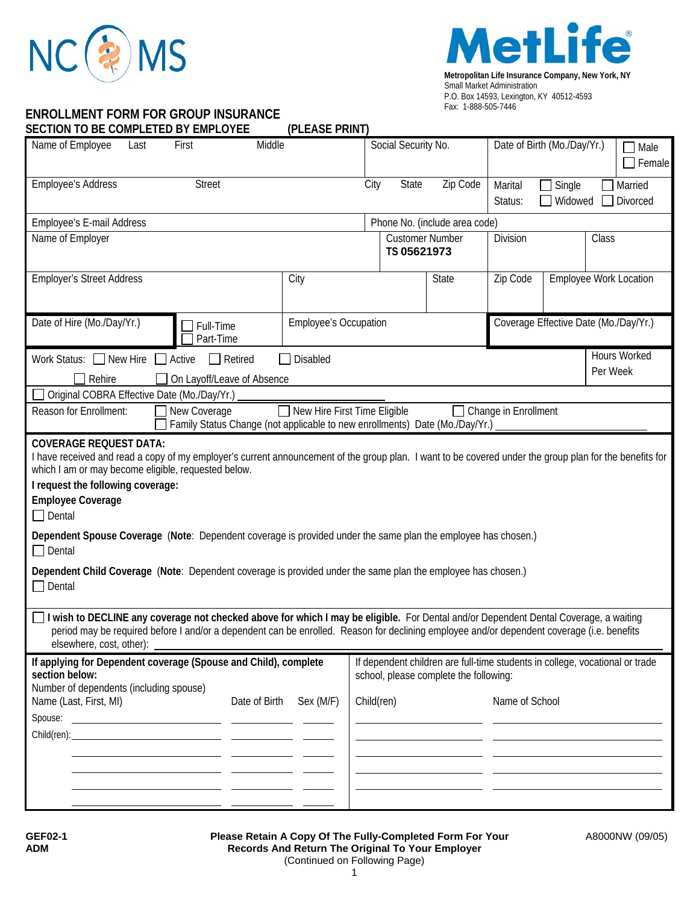



## **ENROLLMENT FORM FOR GROUP INSURANCE**

**SECTION TO BE COMPLETED BY EMPLOYEE (PLEASE PRINT)** 

| SECTION TO BE COMPLETED BY EMPLOYEE                                                                                                                                                                                                                                                                                                                                                                                                                                                                                                                                                                  | (PLEASE PRINT)                                                                                                         |                                       |                     |                |                                       |          |  |
|------------------------------------------------------------------------------------------------------------------------------------------------------------------------------------------------------------------------------------------------------------------------------------------------------------------------------------------------------------------------------------------------------------------------------------------------------------------------------------------------------------------------------------------------------------------------------------------------------|------------------------------------------------------------------------------------------------------------------------|---------------------------------------|---------------------|----------------|---------------------------------------|----------|--|
| Name of Employee<br>Last<br>First                                                                                                                                                                                                                                                                                                                                                                                                                                                                                                                                                                    | Middle                                                                                                                 |                                       | Social Security No. |                | Date of Birth (Mo./Day/Yr.)           |          |  |
| <b>Employee's Address</b><br><b>Street</b>                                                                                                                                                                                                                                                                                                                                                                                                                                                                                                                                                           |                                                                                                                        | City<br>State                         | Zip Code            | Marital        | Single                                | Married  |  |
|                                                                                                                                                                                                                                                                                                                                                                                                                                                                                                                                                                                                      |                                                                                                                        |                                       |                     | Status:        | Widowed                               | Divorced |  |
| Phone No. (include area code)<br>Employee's E-mail Address                                                                                                                                                                                                                                                                                                                                                                                                                                                                                                                                           |                                                                                                                        |                                       |                     |                |                                       |          |  |
| Name of Employer                                                                                                                                                                                                                                                                                                                                                                                                                                                                                                                                                                                     |                                                                                                                        | <b>Customer Number</b><br>TS 05621973 |                     | Division       | Class                                 |          |  |
| <b>Employer's Street Address</b>                                                                                                                                                                                                                                                                                                                                                                                                                                                                                                                                                                     | City                                                                                                                   |                                       | State               | Zip Code       | Employee Work Location                |          |  |
| Date of Hire (Mo./Day/Yr.)<br>Full-Time<br>Part-Time                                                                                                                                                                                                                                                                                                                                                                                                                                                                                                                                                 |                                                                                                                        | <b>Employee's Occupation</b>          |                     |                | Coverage Effective Date (Mo./Day/Yr.) |          |  |
| Work Status: New Hire Active<br>Retired<br>Disabled<br>$\mathbf{L}$                                                                                                                                                                                                                                                                                                                                                                                                                                                                                                                                  |                                                                                                                        |                                       |                     | Hours Worked   |                                       |          |  |
| Rehire<br>On Layoff/Leave of Absence                                                                                                                                                                                                                                                                                                                                                                                                                                                                                                                                                                 |                                                                                                                        |                                       |                     | Per Week       |                                       |          |  |
| Original COBRA Effective Date (Mo./Day/Yr.)                                                                                                                                                                                                                                                                                                                                                                                                                                                                                                                                                          |                                                                                                                        |                                       |                     |                |                                       |          |  |
| New Hire First Time Eligible<br>Reason for Enrollment:<br>New Coverage<br>□ Change in Enrollment<br>Family Status Change (not applicable to new enrollments) Date (Mo./Day/Yr.)                                                                                                                                                                                                                                                                                                                                                                                                                      |                                                                                                                        |                                       |                     |                |                                       |          |  |
| <b>COVERAGE REQUEST DATA:</b><br>I have received and read a copy of my employer's current announcement of the group plan. I want to be covered under the group plan for the benefits for<br>which I am or may become eligible, requested below.<br>I request the following coverage:<br><b>Employee Coverage</b><br>$\Box$ Dental<br>Dependent Spouse Coverage (Note: Dependent coverage is provided under the same plan the employee has chosen.)<br>$\Box$ Dental<br>Dependent Child Coverage (Note: Dependent coverage is provided under the same plan the employee has chosen.)<br>$\Box$ Dental |                                                                                                                        |                                       |                     |                |                                       |          |  |
| I wish to DECLINE any coverage not checked above for which I may be eligible. For Dental and/or Dependent Dental Coverage, a waiting<br>period may be required before I and/or a dependent can be enrolled. Reason for declining employee and/or dependent coverage (i.e. benefits<br>elsewhere, cost, other):                                                                                                                                                                                                                                                                                       |                                                                                                                        |                                       |                     |                |                                       |          |  |
| If applying for Dependent coverage (Spouse and Child), complete<br>section below:                                                                                                                                                                                                                                                                                                                                                                                                                                                                                                                    | If dependent children are full-time students in college, vocational or trade<br>school, please complete the following: |                                       |                     |                |                                       |          |  |
| Number of dependents (including spouse)<br>Name (Last, First, MI)                                                                                                                                                                                                                                                                                                                                                                                                                                                                                                                                    | Date of Birth<br>Sex (M/F)                                                                                             | Child(ren)                            |                     | Name of School |                                       |          |  |
|                                                                                                                                                                                                                                                                                                                                                                                                                                                                                                                                                                                                      |                                                                                                                        |                                       |                     |                |                                       |          |  |
|                                                                                                                                                                                                                                                                                                                                                                                                                                                                                                                                                                                                      |                                                                                                                        |                                       |                     |                |                                       |          |  |
|                                                                                                                                                                                                                                                                                                                                                                                                                                                                                                                                                                                                      |                                                                                                                        |                                       |                     |                |                                       |          |  |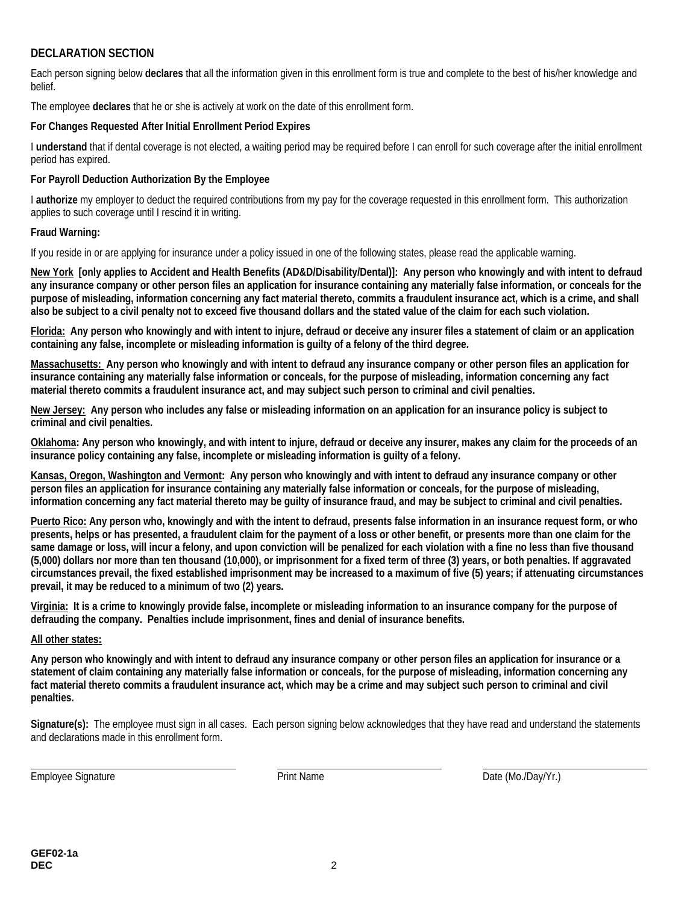### **DECLARATION SECTION**

Each person signing below **declares** that all the information given in this enrollment form is true and complete to the best of his/her knowledge and belief.

The employee **declares** that he or she is actively at work on the date of this enrollment form.

#### **For Changes Requested After Initial Enrollment Period Expires**

I **understand** that if dental coverage is not elected, a waiting period may be required before I can enroll for such coverage after the initial enrollment period has expired.

#### **For Payroll Deduction Authorization By the Employee**

I **authorize** my employer to deduct the required contributions from my pay for the coverage requested in this enrollment form. This authorization applies to such coverage until I rescind it in writing.

#### **Fraud Warning:**

If you reside in or are applying for insurance under a policy issued in one of the following states, please read the applicable warning.

**New York [only applies to Accident and Health Benefits (AD&D/Disability/Dental)]: Any person who knowingly and with intent to defraud any insurance company or other person files an application for insurance containing any materially false information, or conceals for the purpose of misleading, information concerning any fact material thereto, commits a fraudulent insurance act, which is a crime, and shall also be subject to a civil penalty not to exceed five thousand dollars and the stated value of the claim for each such violation.** 

**Florida: Any person who knowingly and with intent to injure, defraud or deceive any insurer files a statement of claim or an application containing any false, incomplete or misleading information is guilty of a felony of the third degree.** 

**Massachusetts: Any person who knowingly and with intent to defraud any insurance company or other person files an application for insurance containing any materially false information or conceals, for the purpose of misleading, information concerning any fact material thereto commits a fraudulent insurance act, and may subject such person to criminal and civil penalties.**

**New Jersey: Any person who includes any false or misleading information on an application for an insurance policy is subject to criminal and civil penalties.** 

**Oklahoma: Any person who knowingly, and with intent to injure, defraud or deceive any insurer, makes any claim for the proceeds of an insurance policy containing any false, incomplete or misleading information is guilty of a felony.** 

**Kansas, Oregon, Washington and Vermont: Any person who knowingly and with intent to defraud any insurance company or other person files an application for insurance containing any materially false information or conceals, for the purpose of misleading, information concerning any fact material thereto may be guilty of insurance fraud, and may be subject to criminal and civil penalties.** 

**Puerto Rico: Any person who, knowingly and with the intent to defraud, presents false information in an insurance request form, or who presents, helps or has presented, a fraudulent claim for the payment of a loss or other benefit, or presents more than one claim for the same damage or loss, will incur a felony, and upon conviction will be penalized for each violation with a fine no less than five thousand (5,000) dollars nor more than ten thousand (10,000), or imprisonment for a fixed term of three (3) years, or both penalties. If aggravated circumstances prevail, the fixed established imprisonment may be increased to a maximum of five (5) years; if attenuating circumstances prevail, it may be reduced to a minimum of two (2) years.** 

**Virginia: It is a crime to knowingly provide false, incomplete or misleading information to an insurance company for the purpose of defrauding the company. Penalties include imprisonment, fines and denial of insurance benefits.** 

#### **All other states:**

**Any person who knowingly and with intent to defraud any insurance company or other person files an application for insurance or a statement of claim containing any materially false information or conceals, for the purpose of misleading, information concerning any fact material thereto commits a fraudulent insurance act, which may be a crime and may subject such person to criminal and civil penalties.** 

**Signature(s):** The employee must sign in all cases. Each person signing below acknowledges that they have read and understand the statements and declarations made in this enrollment form.

Employee Signature **Print Name** Print Name **Date (Mo./Day/Yr.)** 

 $\overline{\phantom{a}}$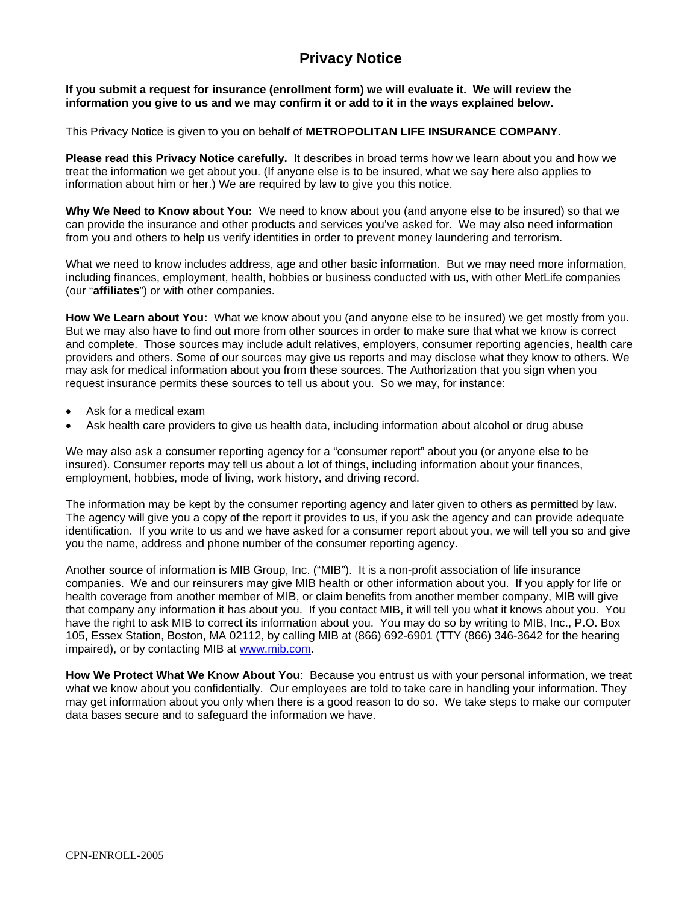# **Privacy Notice**

**If you submit a request for insurance (enrollment form) we will evaluate it. We will review the information you give to us and we may confirm it or add to it in the ways explained below.** 

This Privacy Notice is given to you on behalf of **METROPOLITAN LIFE INSURANCE COMPANY.** 

**Please read this Privacy Notice carefully.** It describes in broad terms how we learn about you and how we treat the information we get about you. (If anyone else is to be insured, what we say here also applies to information about him or her.) We are required by law to give you this notice.

**Why We Need to Know about You:** We need to know about you (and anyone else to be insured) so that we can provide the insurance and other products and services you've asked for. We may also need information from you and others to help us verify identities in order to prevent money laundering and terrorism.

What we need to know includes address, age and other basic information. But we may need more information, including finances, employment, health, hobbies or business conducted with us, with other MetLife companies (our "**affiliates**") or with other companies.

**How We Learn about You:** What we know about you (and anyone else to be insured) we get mostly from you. But we may also have to find out more from other sources in order to make sure that what we know is correct and complete. Those sources may include adult relatives, employers, consumer reporting agencies, health care providers and others. Some of our sources may give us reports and may disclose what they know to others. We may ask for medical information about you from these sources. The Authorization that you sign when you request insurance permits these sources to tell us about you. So we may, for instance:

- Ask for a medical exam
- Ask health care providers to give us health data, including information about alcohol or drug abuse

We may also ask a consumer reporting agency for a "consumer report" about you (or anyone else to be insured). Consumer reports may tell us about a lot of things, including information about your finances, employment, hobbies, mode of living, work history, and driving record.

The information may be kept by the consumer reporting agency and later given to others as permitted by law**.**  The agency will give you a copy of the report it provides to us, if you ask the agency and can provide adequate identification. If you write to us and we have asked for a consumer report about you, we will tell you so and give you the name, address and phone number of the consumer reporting agency.

Another source of information is MIB Group, Inc. ("MIB"). It is a non-profit association of life insurance companies. We and our reinsurers may give MIB health or other information about you. If you apply for life or health coverage from another member of MIB, or claim benefits from another member company, MIB will give that company any information it has about you. If you contact MIB, it will tell you what it knows about you. You have the right to ask MIB to correct its information about you. You may do so by writing to MIB, Inc., P.O. Box 105, Essex Station, Boston, MA 02112, by calling MIB at (866) 692-6901 (TTY (866) 346-3642 for the hearing impaired), or by contacting MIB at www.mib.com.

**How We Protect What We Know About You**: Because you entrust us with your personal information, we treat what we know about you confidentially. Our employees are told to take care in handling your information. They may get information about you only when there is a good reason to do so. We take steps to make our computer data bases secure and to safeguard the information we have.